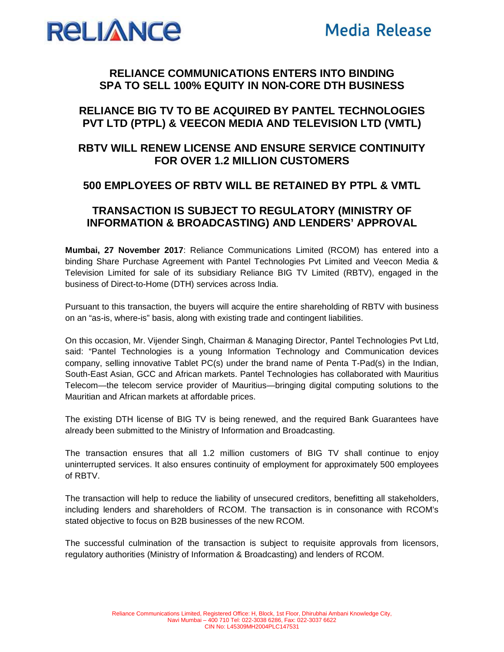



### **RELIANCE COMMUNICATIONS ENTERS INTO BINDING SPA TO SELL 100% EQUITY IN NON-CORE DTH BUSINESS**

# **RELIANCE BIG TV TO BE ACQUIRED BY PANTEL TECHNOLOGIES PVT LTD (PTPL) & VEECON MEDIA AND TELEVISION LTD (VMTL)**

# **RBTV WILL RENEW LICENSE AND ENSURE SERVICE CONTINUITY FOR OVER 1.2 MILLION CUSTOMERS**

## **500 EMPLOYEES OF RBTV WILL BE RETAINED BY PTPL & VMTL**

## **TRANSACTION IS SUBJECT TO REGULATORY (MINISTRY OF INFORMATION & BROADCASTING) AND LENDERS' APPROVAL**

**Mumbai, 27 November 2017**: Reliance Communications Limited (RCOM) has entered into a binding Share Purchase Agreement with Pantel Technologies Pvt Limited and Veecon Media & Television Limited for sale of its subsidiary Reliance BIG TV Limited (RBTV), engaged in the business of Direct-to-Home (DTH) services across India.

Pursuant to this transaction, the buyers will acquire the entire shareholding of RBTV with business on an "as-is, where-is" basis, along with existing trade and contingent liabilities.

On this occasion, Mr. Vijender Singh, Chairman & Managing Director, Pantel Technologies Pvt Ltd, said: "Pantel Technologies is a young Information Technology and Communication devices company, selling innovative Tablet PC(s) under the brand name of Penta T-Pad(s) in the Indian, South-East Asian, GCC and African markets. Pantel Technologies has collaborated with Mauritius Telecom—the telecom service provider of Mauritius—bringing digital computing solutions to the Mauritian and African markets at affordable prices.

The existing DTH license of BIG TV is being renewed, and the required Bank Guarantees have already been submitted to the Ministry of Information and Broadcasting.

The transaction ensures that all 1.2 million customers of BIG TV shall continue to enjoy uninterrupted services. It also ensures continuity of employment for approximately 500 employees of RBTV.

The transaction will help to reduce the liability of unsecured creditors, benefitting all stakeholders, including lenders and shareholders of RCOM. The transaction is in consonance with RCOM's stated objective to focus on B2B businesses of the new RCOM.

The successful culmination of the transaction is subject to requisite approvals from licensors, regulatory authorities (Ministry of Information & Broadcasting) and lenders of RCOM.